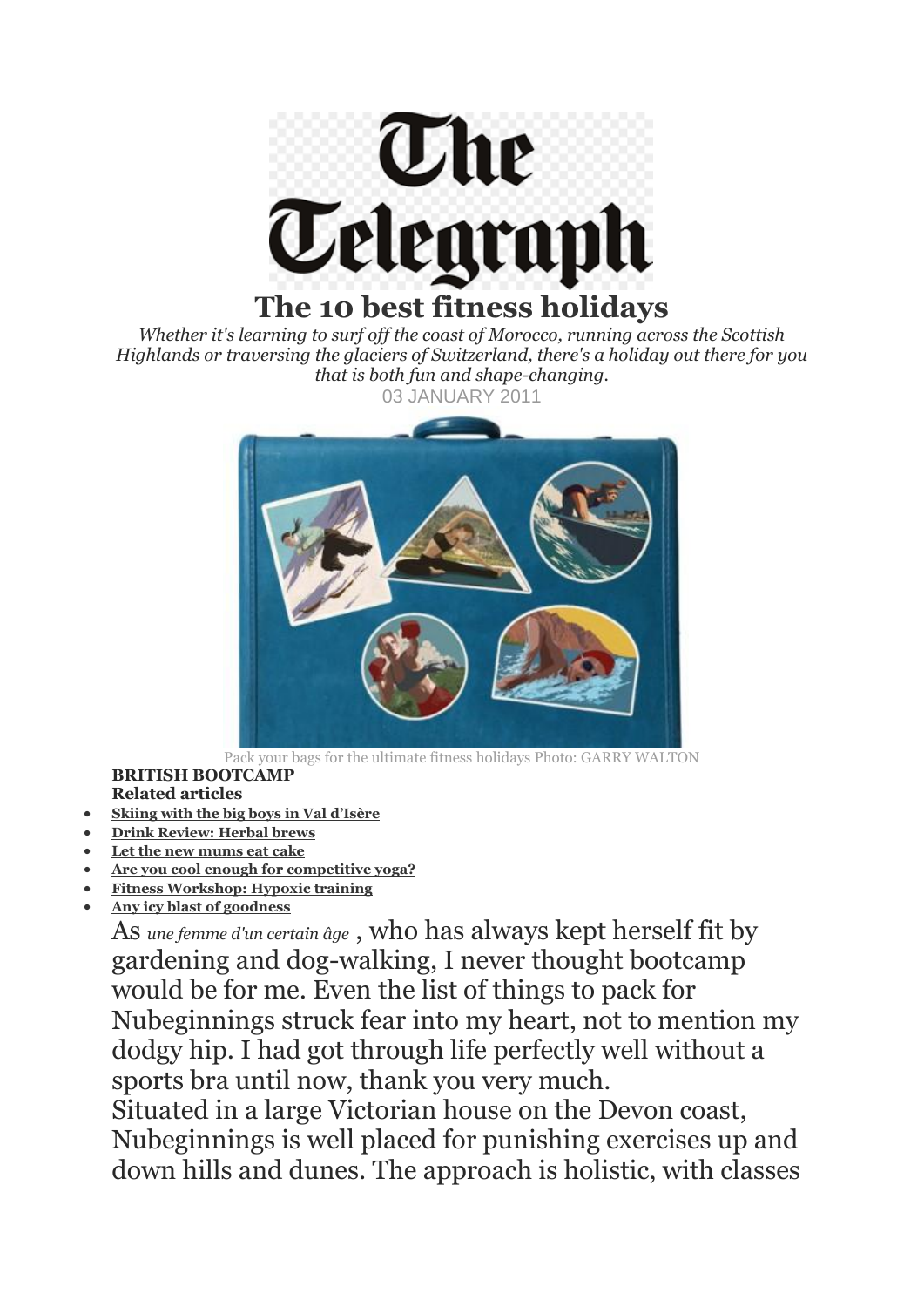

*Whether it's learning to surf off the coast of Morocco, running across the Scottish Highlands or traversing the glaciers of Switzerland, there's a holiday out there for you that is both fun and shape-changing.* 03 JANUARY 2011

Pack your bags for the ultimate fitness holidays Photo: GARRY WALTON **BRITISH BOOTCAMP**

**Related articles**

- **Skiing with the big boys in Val [d'Isère](http://www.telegraph.co.uk/travel/8210340/.html)**
- **Drink [Review:](http://www.telegraph.co.uk/foodanddrink/8214225/Drink-Review-Herbal-brews.html) Herbal brews**
- **Let the new [mums](http://www.telegraph.co.uk/comment/columnists/jennymccartney/8196365/Let-the-new-mums-eat-cake.html) eat cake**
- **Are you cool enough for [competitive](http://www.telegraph.co.uk/health/wellbeing/7803435/Are-you-cool-enough-for-competitive-yoga.html) yoga?**
- **Fitness [Workshop:](http://www.telegraph.co.uk/health/wellbeing/8129509/Fitness-Workshop-Hypoxic-training.html) Hypoxic training**
- **Any icy blast of [goodness](http://www.telegraph.co.uk/health/wellbeing/8179045/Any-icy-blast-of-goodness.html)**

As *une femme d'un certain âge* , who has always kept herself fit by gardening and dog-walking, I never thought bootcamp would be for me. Even the list of things to pack for Nubeginnings struck fear into my heart, not to mention my dodgy hip. I had got through life perfectly well without a sports bra until now, thank you very much. Situated in a large Victorian house on the Devon coast, Nubeginnings is well placed for punishing exercises up and down hills and dunes. The approach is holistic, with classes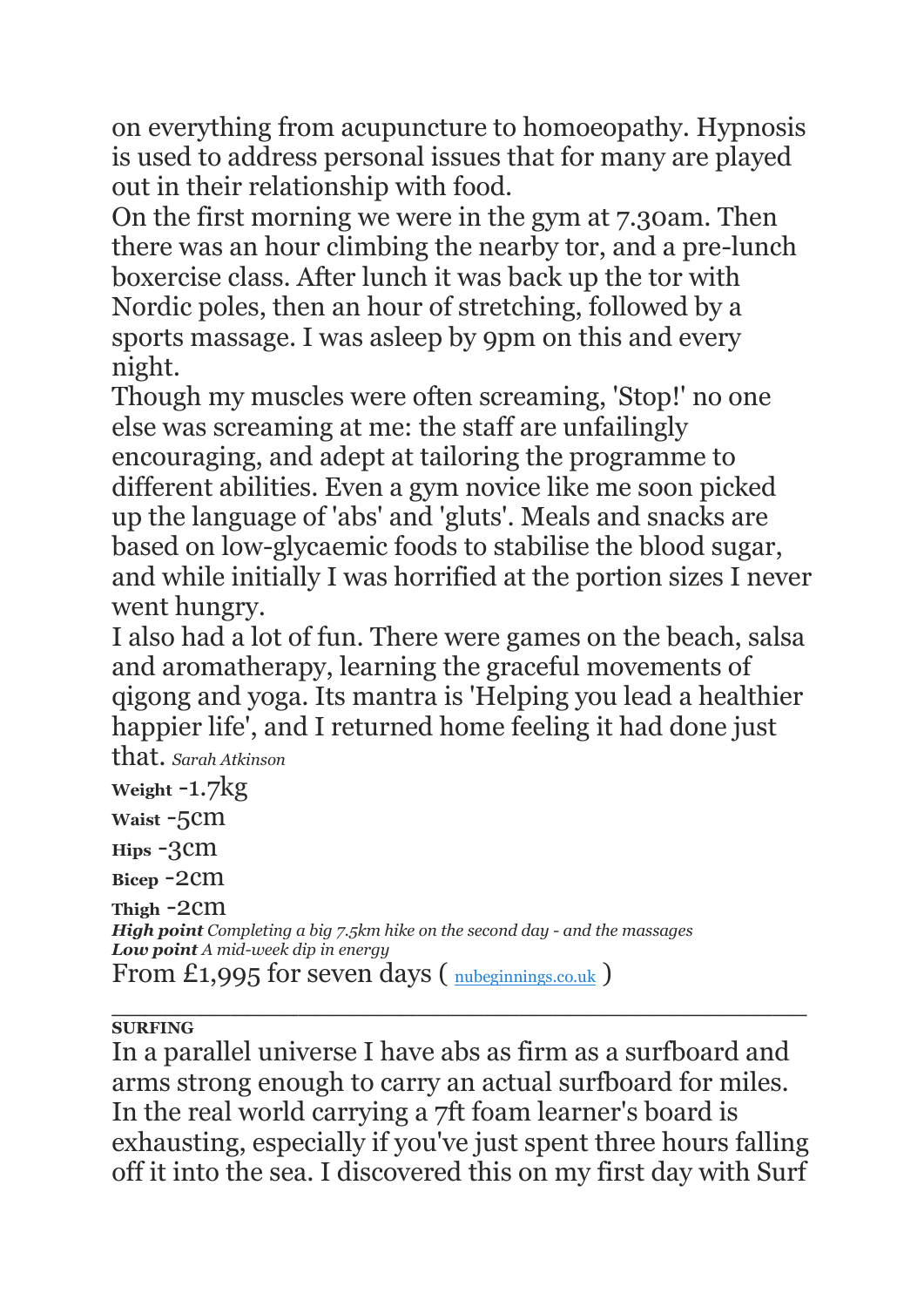on everything from acupuncture to homoeopathy. Hypnosis is used to address personal issues that for many are played out in their relationship with food.

On the first morning we were in the gym at 7.30am. Then there was an hour climbing the nearby tor, and a pre-lunch boxercise class. After lunch it was back up the tor with Nordic poles, then an hour of stretching, followed by a sports massage. I was asleep by 9pm on this and every night.

Though my muscles were often screaming, 'Stop!' no one else was screaming at me: the staff are unfailingly encouraging, and adept at tailoring the programme to different abilities. Even a gym novice like me soon picked up the language of 'abs' and 'gluts'. Meals and snacks are based on low-glycaemic foods to stabilise the blood sugar, and while initially I was horrified at the portion sizes I never went hungry.

I also had a lot of fun. There were games on the beach, salsa and aromatherapy, learning the graceful movements of qigong and yoga. Its mantra is 'Helping you lead a healthier happier life', and I returned home feeling it had done just that. *Sarah Atkinson*

**Weight** -1.7kg **Waist** -5cm **Hips** -3cm **Bicep** -2cm **Thigh** -2cm *High point Completing a big 7.5km hike on the second day - and the massages Low point A mid-week dip in energy* From £1,995 for seven days ( [nubeginnings.co.uk](http://nubeginnings.co.uk/) ) \_\_\_\_\_\_\_\_\_\_\_\_\_\_\_\_\_\_\_\_\_\_\_\_\_\_\_\_\_\_\_\_\_\_\_\_\_\_\_\_\_

# **SURFING**

In a parallel universe I have abs as firm as a surfboard and arms strong enough to carry an actual surfboard for miles. In the real world carrying a 7ft foam learner's board is exhausting, especially if you've just spent three hours falling off it into the sea. I discovered this on my first day with Surf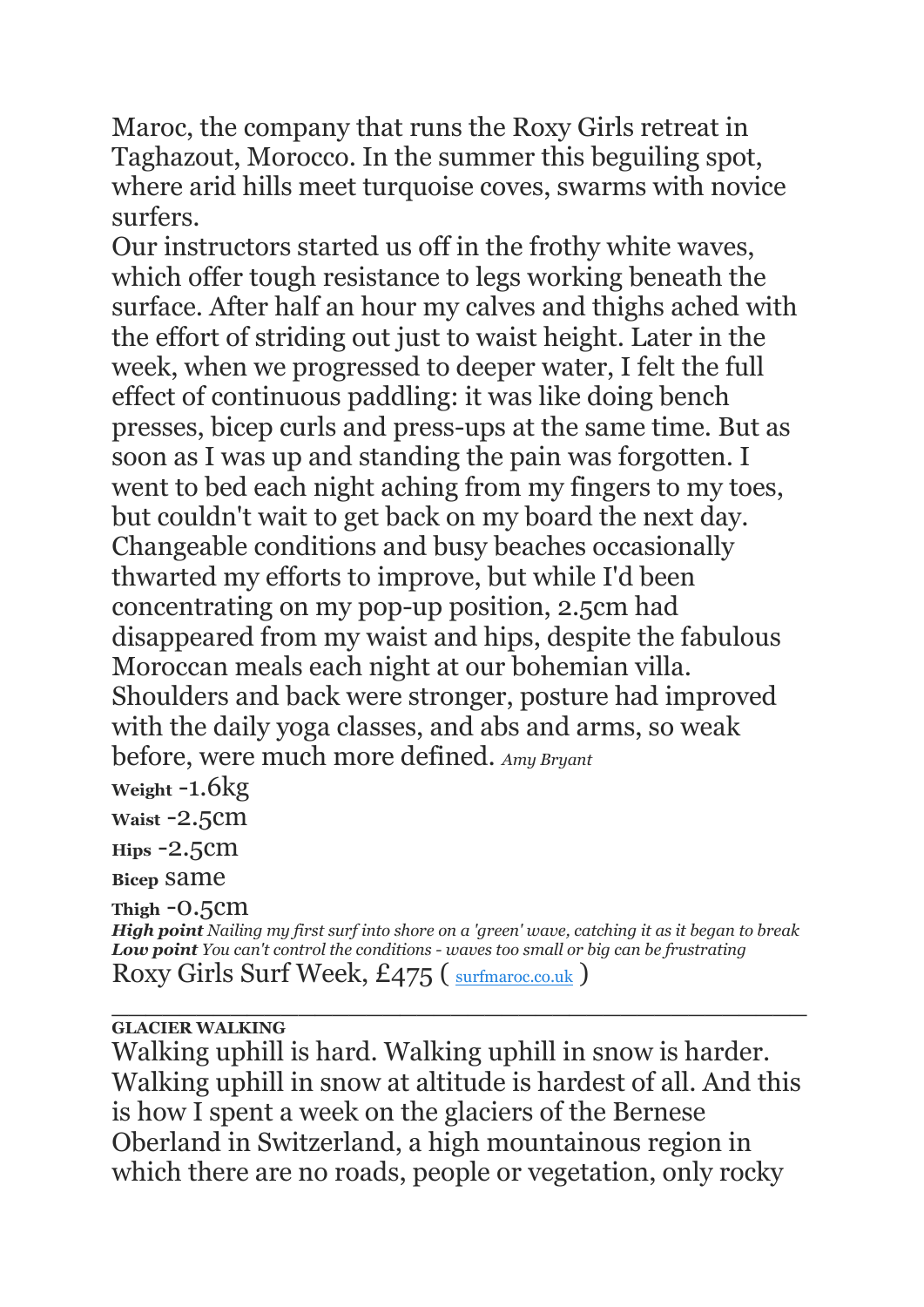Maroc, the company that runs the Roxy Girls retreat in Taghazout, Morocco. In the summer this beguiling spot, where arid hills meet turquoise coves, swarms with novice surfers.

Our instructors started us off in the frothy white waves, which offer tough resistance to legs working beneath the surface. After half an hour my calves and thighs ached with the effort of striding out just to waist height. Later in the week, when we progressed to deeper water, I felt the full effect of continuous paddling: it was like doing bench presses, bicep curls and press-ups at the same time. But as soon as I was up and standing the pain was forgotten. I went to bed each night aching from my fingers to my toes, but couldn't wait to get back on my board the next day. Changeable conditions and busy beaches occasionally thwarted my efforts to improve, but while I'd been concentrating on my pop-up position, 2.5cm had disappeared from my waist and hips, despite the fabulous Moroccan meals each night at our bohemian villa. Shoulders and back were stronger, posture had improved with the daily yoga classes, and abs and arms, so weak before, were much more defined. *Amy Bryant*

**Weight** -1.6kg

**Waist** -2.5cm

**Hips** -2.5cm

**Bicep** same

**Thigh** -0.5cm High point Nailing my first surf into shore on a 'green' wave, catching it as it began to break *Low point You can't control the conditions - waves too small or big can be frustrating* Roxy Girls Surf Week, £475 ( [surfmaroc.co.uk](http://surfmaroc.co.uk/) )

# \_\_\_\_\_\_\_\_\_\_\_\_\_\_\_\_\_\_\_\_\_\_\_\_\_\_\_\_\_\_\_\_\_\_\_\_\_\_\_\_\_ **GLACIER WALKING**

Walking uphill is hard. Walking uphill in snow is harder. Walking uphill in snow at altitude is hardest of all. And this is how I spent a week on the glaciers of the Bernese Oberland in Switzerland, a high mountainous region in which there are no roads, people or vegetation, only rocky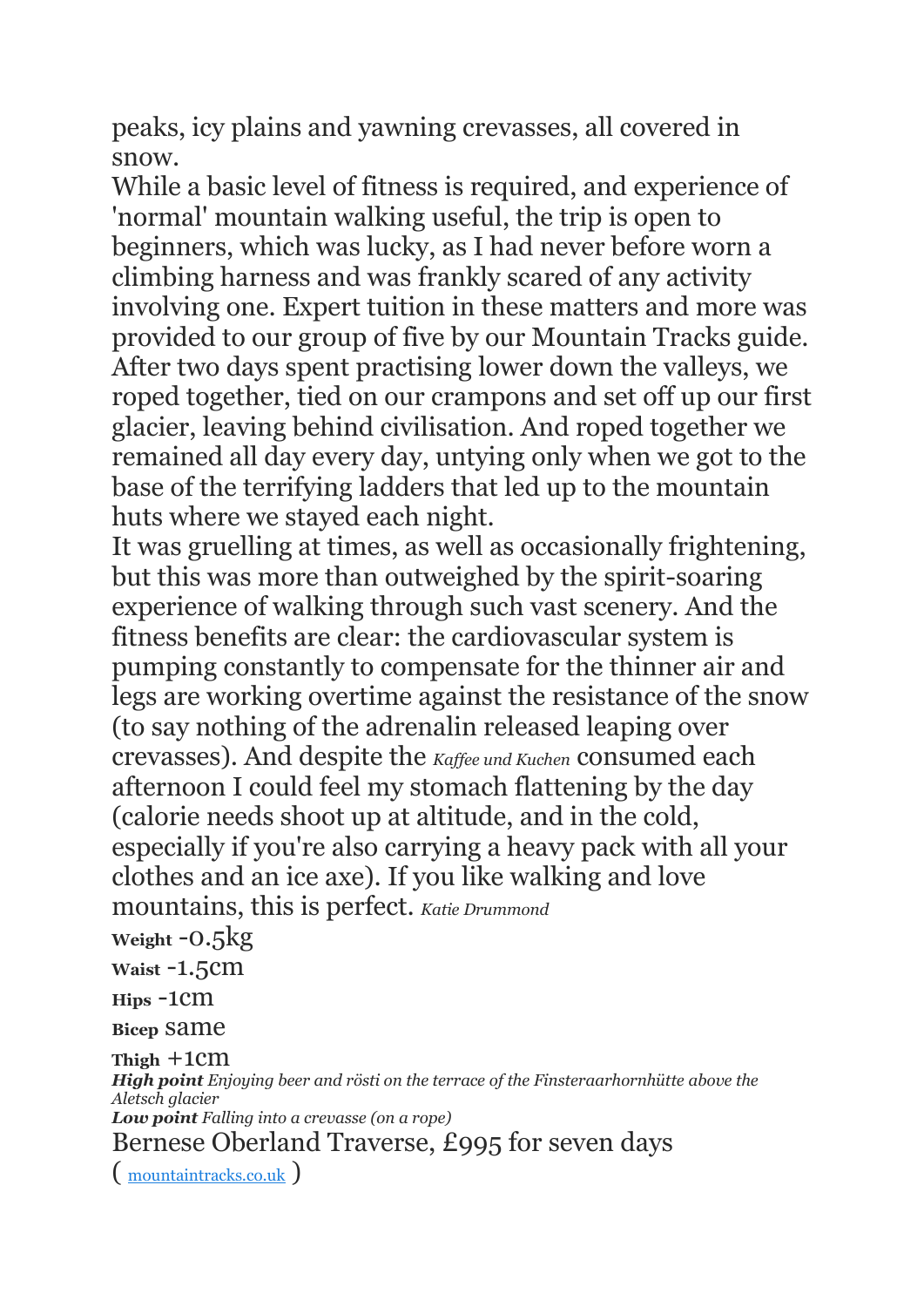peaks, icy plains and yawning crevasses, all covered in snow.

While a basic level of fitness is required, and experience of 'normal' mountain walking useful, the trip is open to beginners, which was lucky, as I had never before worn a climbing harness and was frankly scared of any activity involving one. Expert tuition in these matters and more was provided to our group of five by our Mountain Tracks guide. After two days spent practising lower down the valleys, we roped together, tied on our crampons and set off up our first glacier, leaving behind civilisation. And roped together we remained all day every day, untying only when we got to the base of the terrifying ladders that led up to the mountain huts where we stayed each night.

It was gruelling at times, as well as occasionally frightening, but this was more than outweighed by the spirit-soaring experience of walking through such vast scenery. And the fitness benefits are clear: the cardiovascular system is pumping constantly to compensate for the thinner air and legs are working overtime against the resistance of the snow (to say nothing of the adrenalin released leaping over crevasses). And despite the *Kaffee und Kuchen* consumed each afternoon I could feel my stomach flattening by the day (calorie needs shoot up at altitude, and in the cold, especially if you're also carrying a heavy pack with all your clothes and an ice axe). If you like walking and love mountains, this is perfect. *Katie Drummond* **Weight** -0.5kg

**Waist** -1.5cm

**Hips** -1cm

**Bicep** same

**Thigh** +1cm

*High point Enjoying beer and rösti on the terrace of the Finsteraarhornhütte above the Aletsch glacier*

*Low point Falling into a crevasse (on a rope)*

Bernese Oberland Traverse, £995 for seven days

( [mountaintracks.co.uk](http://mountaintracks.co.uk/) )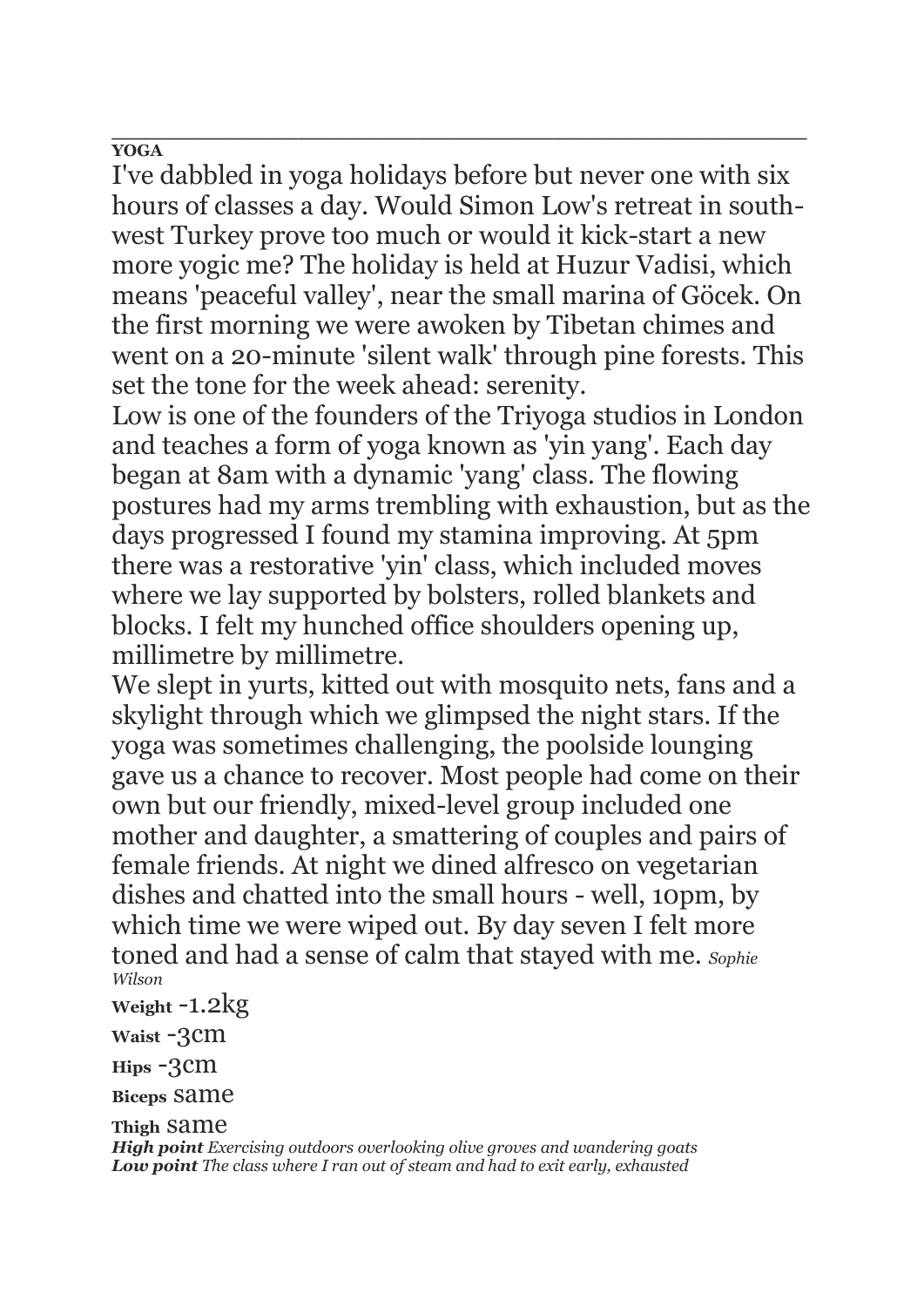\_\_\_\_\_\_\_\_\_\_\_\_\_\_\_\_\_\_\_\_\_\_\_\_\_\_\_\_\_\_\_\_\_\_\_\_\_\_\_\_\_ **YOGA**

I've dabbled in yoga holidays before but never one with six hours of classes a day. Would Simon Low's retreat in southwest Turkey prove too much or would it kick-start a new more yogic me? The holiday is held at Huzur Vadisi, which means 'peaceful valley', near the small marina of Göcek. On the first morning we were awoken by Tibetan chimes and went on a 20-minute 'silent walk' through pine forests. This set the tone for the week ahead: serenity.

Low is one of the founders of the Triyoga studios in London and teaches a form of yoga known as 'yin yang'. Each day began at 8am with a dynamic 'yang' class. The flowing postures had my arms trembling with exhaustion, but as the days progressed I found my stamina improving. At 5pm there was a restorative 'yin' class, which included moves where we lay supported by bolsters, rolled blankets and blocks. I felt my hunched office shoulders opening up, millimetre by millimetre.

We slept in yurts, kitted out with mosquito nets, fans and a skylight through which we glimpsed the night stars. If the yoga was sometimes challenging, the poolside lounging gave us a chance to recover. Most people had come on their own but our friendly, mixed-level group included one mother and daughter, a smattering of couples and pairs of female friends. At night we dined alfresco on vegetarian dishes and chatted into the small hours - well, 10pm, by which time we were wiped out. By day seven I felt more toned and had a sense of calm that stayed with me. *Sophie Wilson*

**Weight** -1.2kg

**Waist** -3cm

**Hips** -3cm

**Biceps** same

**Thigh** same

*High point Exercising outdoors overlooking olive groves and wandering goats Low point The class where I ran out of steam and had to exit early, exhausted*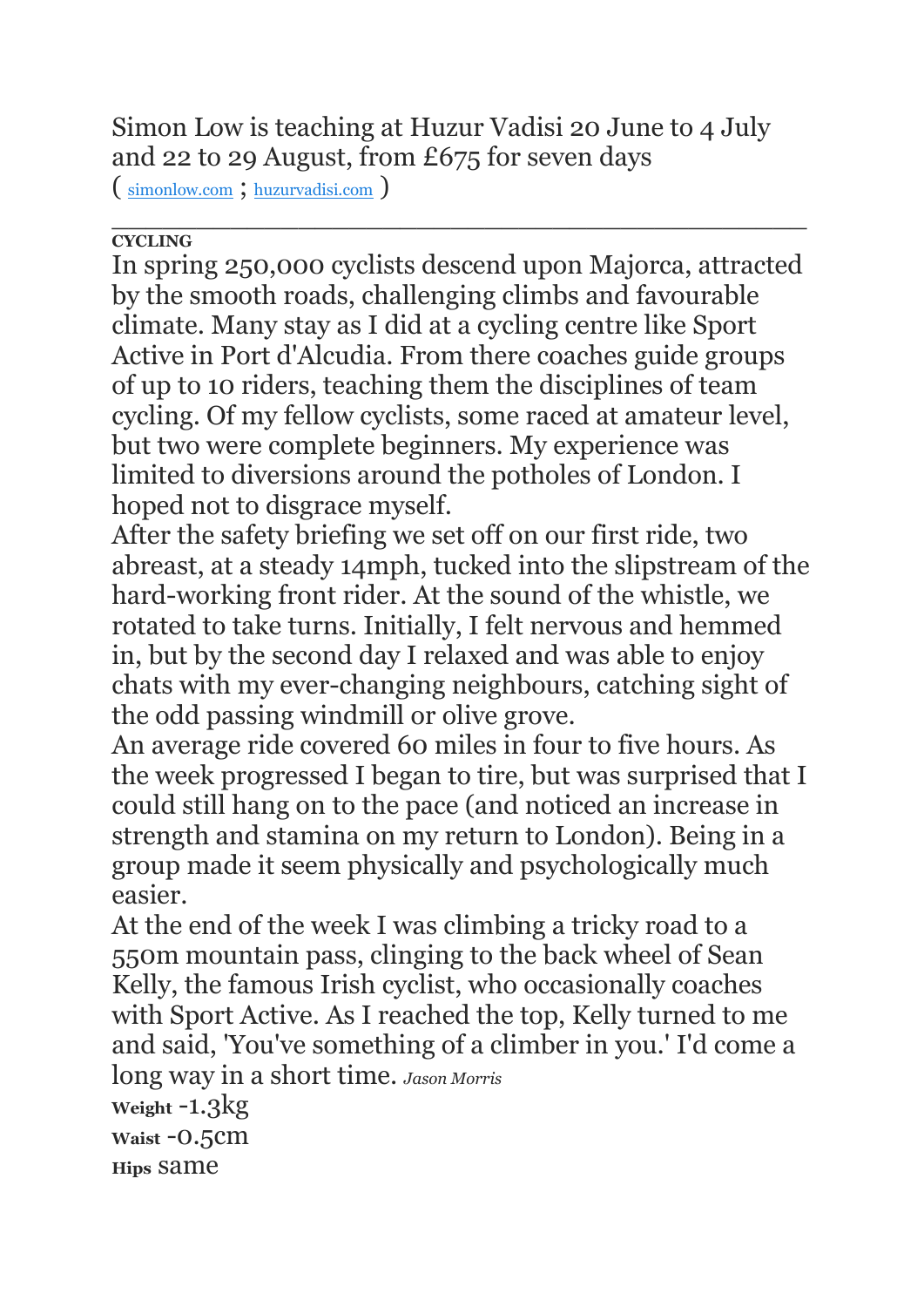Simon Low is teaching at Huzur Vadisi 20 June to 4 July and 22 to 29 August, from £675 for seven days

( [simonlow.com](http://www.simonlow.com/) ; [huzurvadisi.com](http://www.huzurvadisi.com/) )

# \_\_\_\_\_\_\_\_\_\_\_\_\_\_\_\_\_\_\_\_\_\_\_\_\_\_\_\_\_\_\_\_\_\_\_\_\_\_\_\_\_ **CYCLING**

In spring 250,000 cyclists descend upon Majorca, attracted by the smooth roads, challenging climbs and favourable climate. Many stay as I did at a cycling centre like Sport Active in Port d'Alcudia. From there coaches guide groups of up to 10 riders, teaching them the disciplines of team cycling. Of my fellow cyclists, some raced at amateur level, but two were complete beginners. My experience was limited to diversions around the potholes of London. I hoped not to disgrace myself.

After the safety briefing we set off on our first ride, two abreast, at a steady 14mph, tucked into the slipstream of the hard-working front rider. At the sound of the whistle, we rotated to take turns. Initially, I felt nervous and hemmed in, but by the second day I relaxed and was able to enjoy chats with my ever-changing neighbours, catching sight of the odd passing windmill or olive grove.

An average ride covered 60 miles in four to five hours. As the week progressed I began to tire, but was surprised that I could still hang on to the pace (and noticed an increase in strength and stamina on my return to London). Being in a group made it seem physically and psychologically much easier.

At the end of the week I was climbing a tricky road to a 550m mountain pass, clinging to the back wheel of Sean Kelly, the famous Irish cyclist, who occasionally coaches with Sport Active. As I reached the top, Kelly turned to me and said, 'You've something of a climber in you.' I'd come a long way in a short time. *Jason Morris*

**Weight** -1.3kg

**Waist** -0.5cm

**Hips** same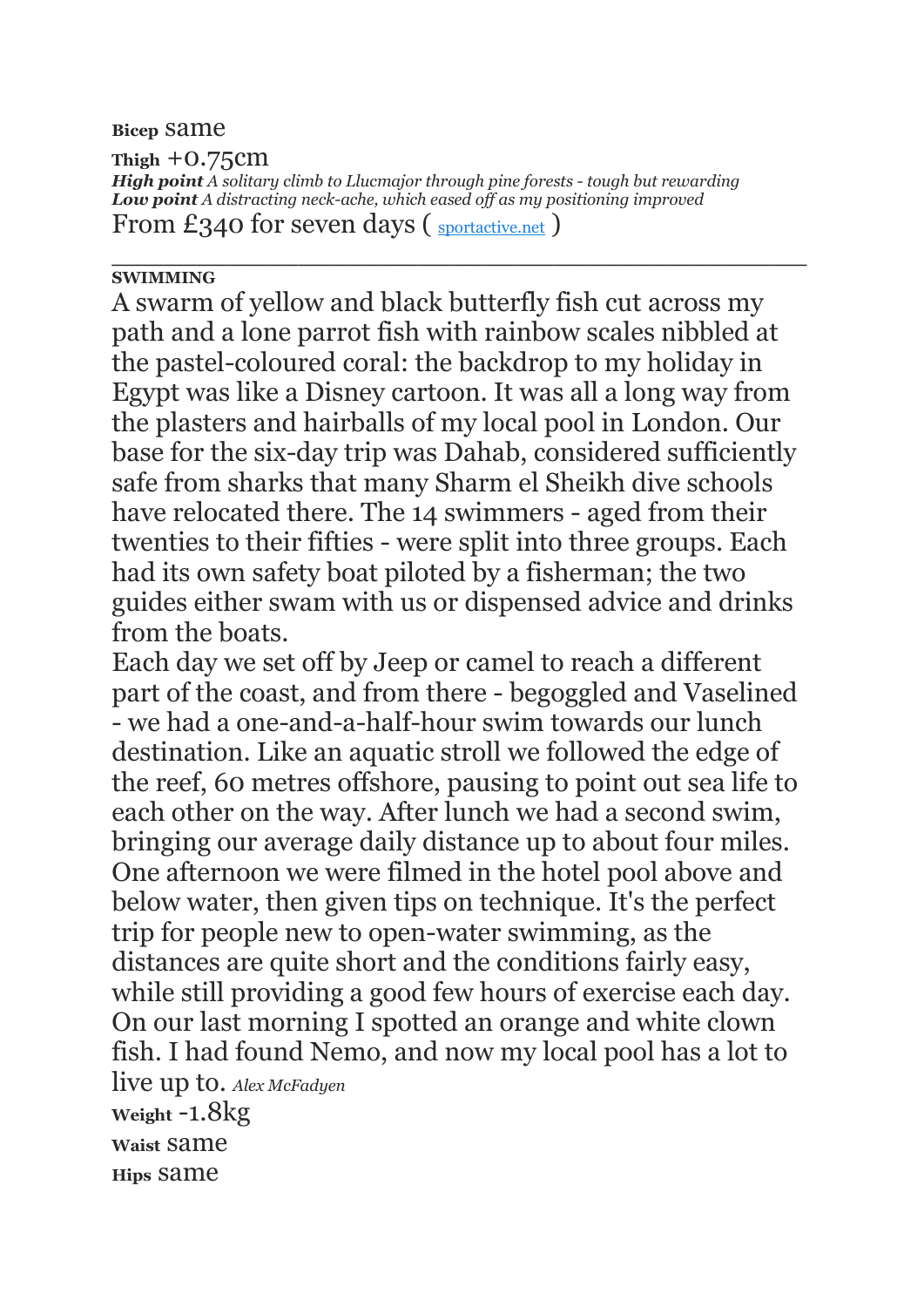**Bicep** same

**Thigh** +0.75cm *High point A solitary climb to Llucmajor through pine forests - tough but rewarding Low point A distracting neck-ache, which eased off as my positioning improved* From £340 for seven days ([sportactive.net](http://www.sportactive.net/))

# \_\_\_\_\_\_\_\_\_\_\_\_\_\_\_\_\_\_\_\_\_\_\_\_\_\_\_\_\_\_\_\_\_\_\_\_\_\_\_\_\_ **SWIMMING**

A swarm of yellow and black butterfly fish cut across my path and a lone parrot fish with rainbow scales nibbled at the pastel-coloured coral: the backdrop to my holiday in Egypt was like a Disney cartoon. It was all a long way from the plasters and hairballs of my local pool in London. Our base for the six-day trip was Dahab, considered sufficiently safe from sharks that many Sharm el Sheikh dive schools have relocated there. The 14 swimmers - aged from their twenties to their fifties - were split into three groups. Each had its own safety boat piloted by a fisherman; the two guides either swam with us or dispensed advice and drinks from the boats.

Each day we set off by Jeep or camel to reach a different part of the coast, and from there - begoggled and Vaselined - we had a one-and-a-half-hour swim towards our lunch destination. Like an aquatic stroll we followed the edge of the reef, 60 metres offshore, pausing to point out sea life to each other on the way. After lunch we had a second swim, bringing our average daily distance up to about four miles. One afternoon we were filmed in the hotel pool above and below water, then given tips on technique. It's the perfect trip for people new to open-water swimming, as the distances are quite short and the conditions fairly easy, while still providing a good few hours of exercise each day. On our last morning I spotted an orange and white clown fish. I had found Nemo, and now my local pool has a lot to live up to. *Alex McFadyen* **Weight** -1.8kg **Waist** same **Hips** same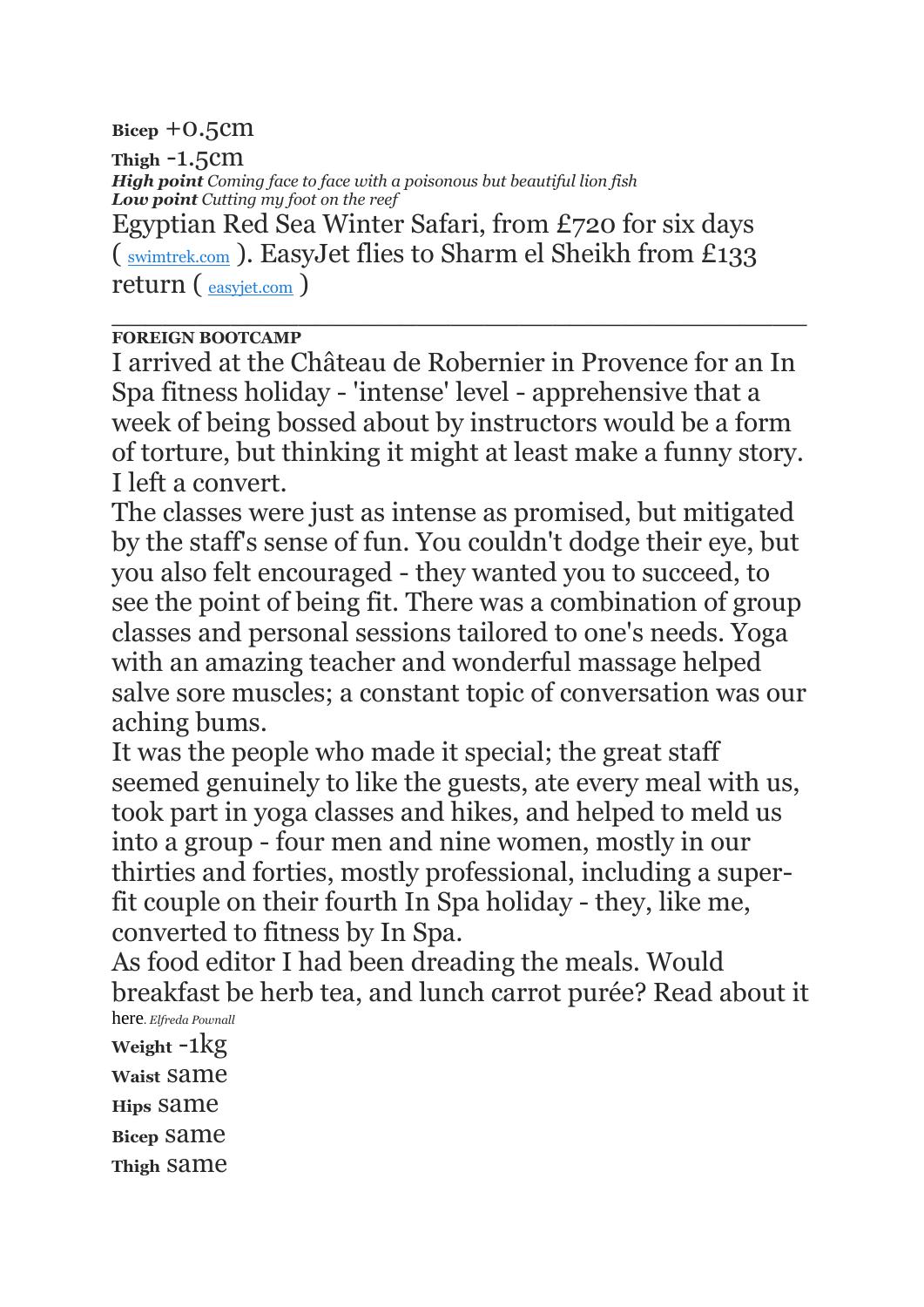**Bicep** +0.5cm

**Thigh** -1.5cm *High point Coming face to face with a poisonous but beautiful lion fish Low point Cutting my foot on the reef* Egyptian Red Sea Winter Safari, from £720 for six days ( [swimtrek.com](http://www.swimtrek.com/) ). EasyJet flies to Sharm el Sheikh from £133 return ([easyjet.com](http://www.easyjet.com/))

#### \_\_\_\_\_\_\_\_\_\_\_\_\_\_\_\_\_\_\_\_\_\_\_\_\_\_\_\_\_\_\_\_\_\_\_\_\_\_\_\_\_ **FOREIGN BOOTCAMP**

I arrived at the Château de Robernier in Provence for an In Spa fitness holiday - 'intense' level - apprehensive that a week of being bossed about by instructors would be a form of torture, but thinking it might at least make a funny story. I left a convert.

The classes were just as intense as promised, but mitigated by the staff's sense of fun. You couldn't dodge their eye, but you also felt encouraged - they wanted you to succeed, to see the point of being fit. There was a combination of group classes and personal sessions tailored to one's needs. Yoga with an amazing teacher and wonderful massage helped salve sore muscles; a constant topic of conversation was our aching bums.

It was the people who made it special; the great staff seemed genuinely to like the guests, ate every meal with us, took part in yoga classes and hikes, and helped to meld us into a group - four men and nine women, mostly in our thirties and forties, mostly professional, including a superfit couple on their fourth In Spa holiday - they, like me, converted to fitness by In Spa.

As food editor I had been dreading the meals. Would breakfast be herb tea, and lunch carrot purée? Read about it here. *Elfreda Pownall*

**Weight** -1kg **Waist** same **Hips** same **Bicep** same **Thigh** same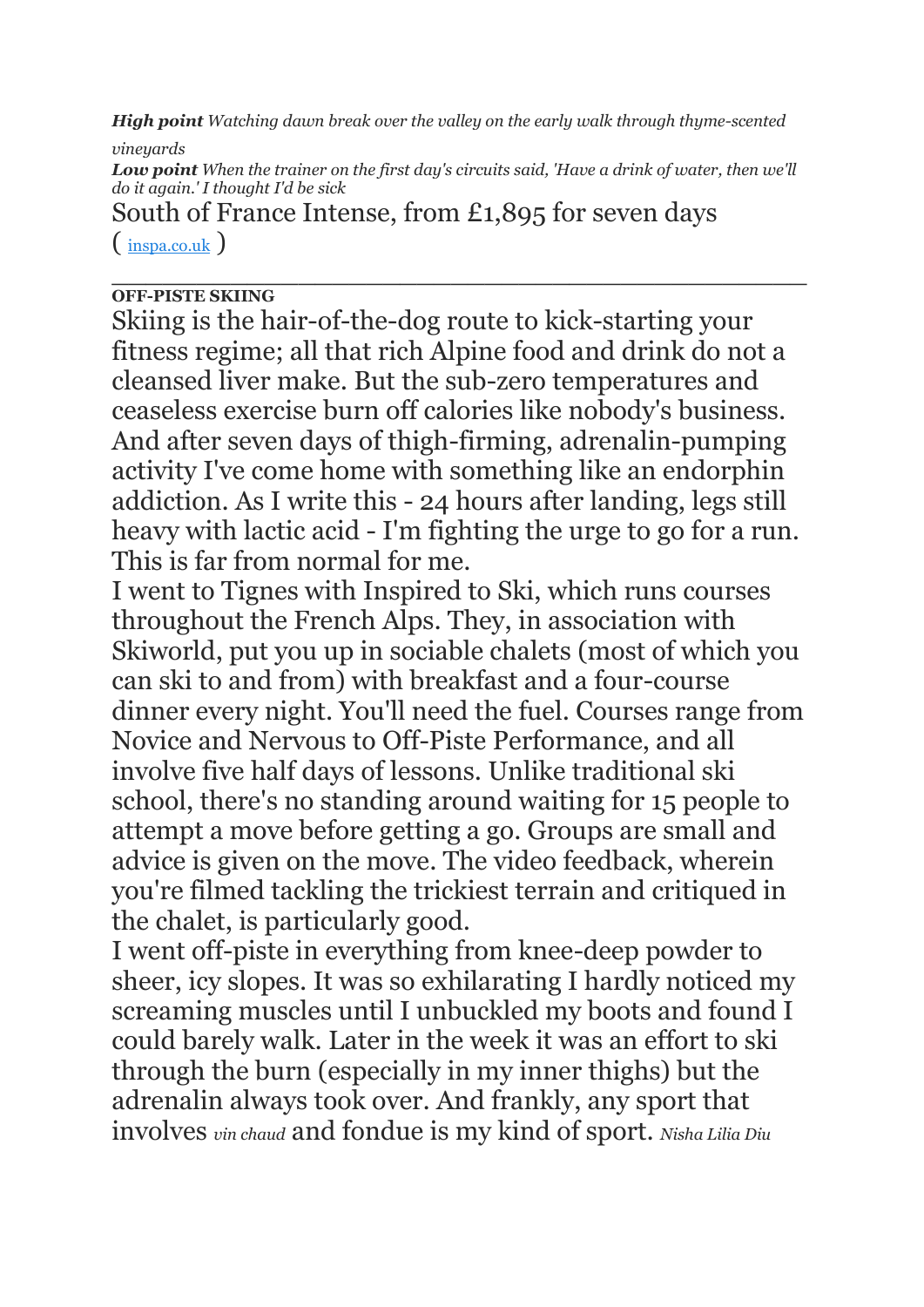*High point Watching dawn break over the valley on the early walk through thyme-scented*

*vineyards Low point When the trainer on the first day's circuits said, 'Have a drink of water, then we'll do it again.' I thought I'd be sick*

South of France Intense, from £1,895 for seven days

 $\int$  [inspa.co.uk](http://inspa.co.uk/) )

# \_\_\_\_\_\_\_\_\_\_\_\_\_\_\_\_\_\_\_\_\_\_\_\_\_\_\_\_\_\_\_\_\_\_\_\_\_\_\_\_\_ **OFF-PISTE SKIING**

Skiing is the hair-of-the-dog route to kick-starting your fitness regime; all that rich Alpine food and drink do not a cleansed liver make. But the sub-zero temperatures and ceaseless exercise burn off calories like nobody's business. And after seven days of thigh-firming, adrenalin-pumping activity I've come home with something like an endorphin addiction. As I write this - 24 hours after landing, legs still heavy with lactic acid - I'm fighting the urge to go for a run. This is far from normal for me.

I went to Tignes with Inspired to Ski, which runs courses throughout the French Alps. They, in association with Skiworld, put you up in sociable chalets (most of which you can ski to and from) with breakfast and a four-course dinner every night. You'll need the fuel. Courses range from Novice and Nervous to Off-Piste Performance, and all involve five half days of lessons. Unlike traditional ski school, there's no standing around waiting for 15 people to attempt a move before getting a go. Groups are small and advice is given on the move. The video feedback, wherein you're filmed tackling the trickiest terrain and critiqued in the chalet, is particularly good.

I went off-piste in everything from knee-deep powder to sheer, icy slopes. It was so exhilarating I hardly noticed my screaming muscles until I unbuckled my boots and found I could barely walk. Later in the week it was an effort to ski through the burn (especially in my inner thighs) but the adrenalin always took over. And frankly, any sport that involves *vin chaud* and fondue is my kind of sport. *Nisha Lilia Diu*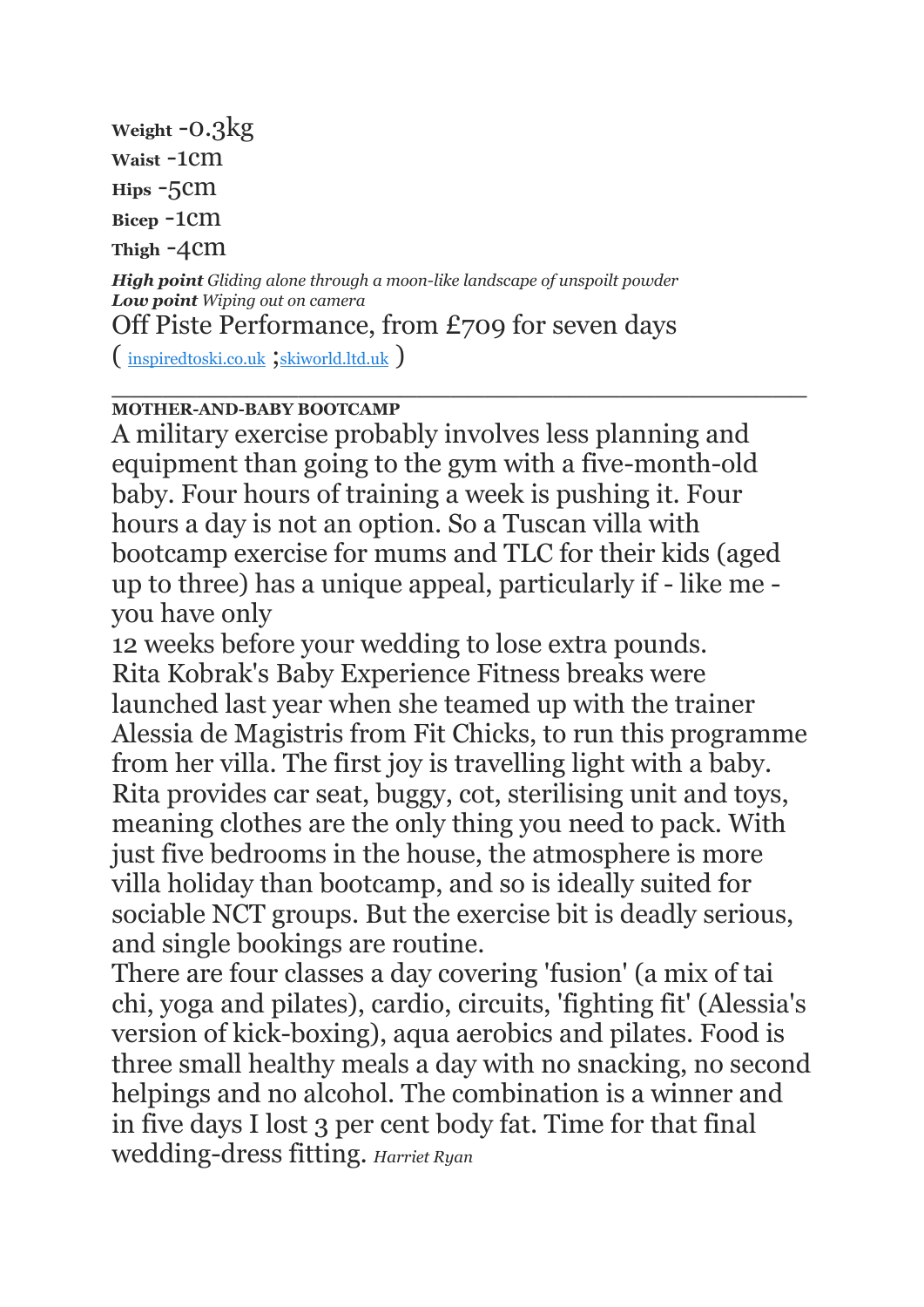**Weight** -0.3kg **Waist** -1cm **Hips** -5cm **Bicep** -1cm **Thigh** -4cm

*High point Gliding alone through a moon-like landscape of unspoilt powder Low point Wiping out on camera*

Off Piste Performance, from £709 for seven days ( [inspiredtoski.co.uk](http://inspiredtoski.co.uk/) ;[skiworld.ltd.uk](http://skiworld.ltd.uk/) )

### \_\_\_\_\_\_\_\_\_\_\_\_\_\_\_\_\_\_\_\_\_\_\_\_\_\_\_\_\_\_\_\_\_\_\_\_\_\_\_\_\_ **MOTHER-AND-BABY BOOTCAMP**

A military exercise probably involves less planning and equipment than going to the gym with a five-month-old baby. Four hours of training a week is pushing it. Four hours a day is not an option. So a Tuscan villa with bootcamp exercise for mums and TLC for their kids (aged up to three) has a unique appeal, particularly if - like me you have only

12 weeks before your wedding to lose extra pounds. Rita Kobrak's Baby Experience Fitness breaks were launched last year when she teamed up with the trainer Alessia de Magistris from Fit Chicks, to run this programme from her villa. The first joy is travelling light with a baby. Rita provides car seat, buggy, cot, sterilising unit and toys, meaning clothes are the only thing you need to pack. With just five bedrooms in the house, the atmosphere is more villa holiday than bootcamp, and so is ideally suited for sociable NCT groups. But the exercise bit is deadly serious, and single bookings are routine.

There are four classes a day covering 'fusion' (a mix of tai chi, yoga and pilates), cardio, circuits, 'fighting fit' (Alessia's version of kick-boxing), aqua aerobics and pilates. Food is three small healthy meals a day with no snacking, no second helpings and no alcohol. The combination is a winner and in five days I lost 3 per cent body fat. Time for that final wedding-dress fitting. *Harriet Ryan*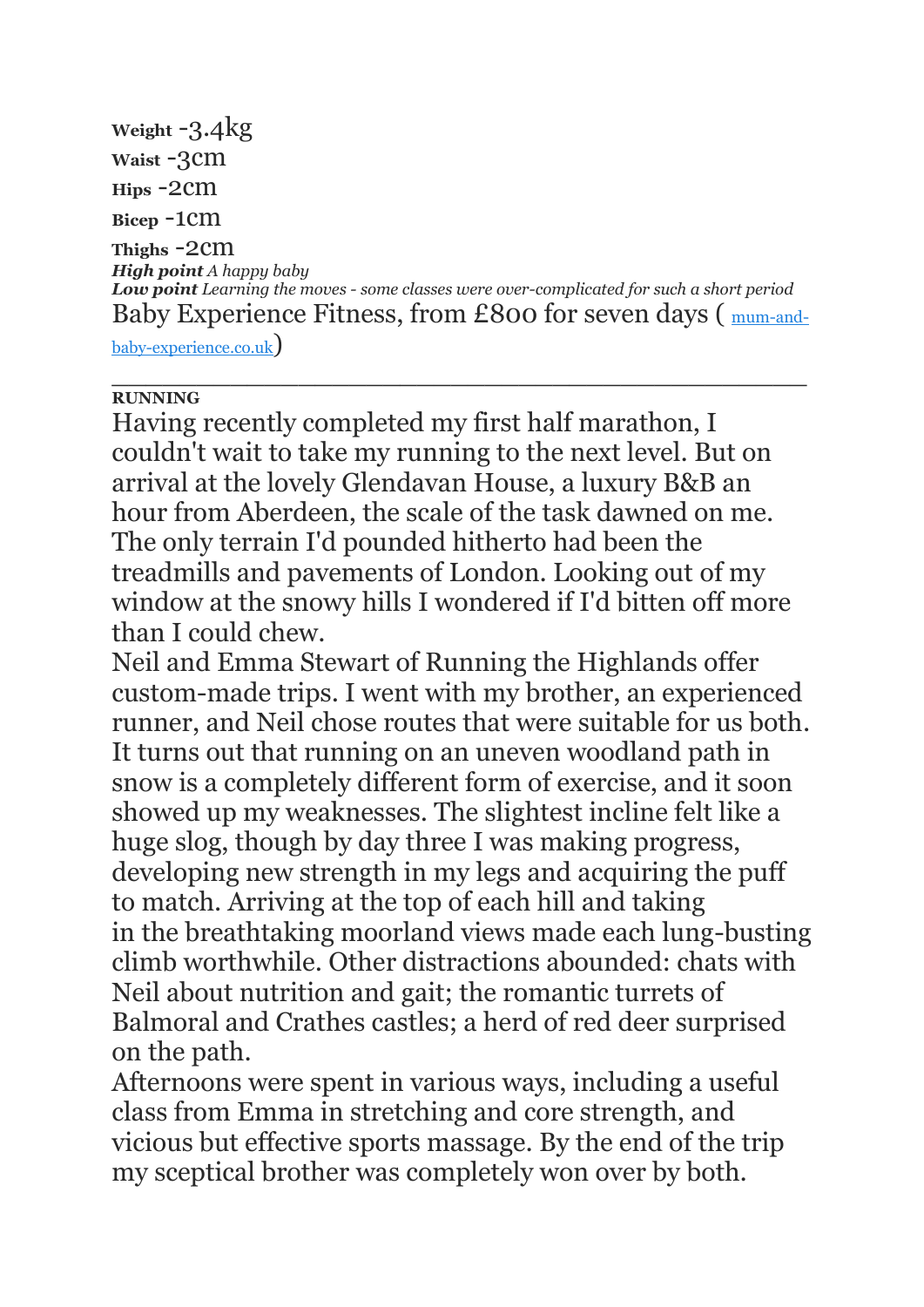| Weight $-3.4$ kg                                                                                 |
|--------------------------------------------------------------------------------------------------|
| Waist -3CM                                                                                       |
| $Hips - 2cm$                                                                                     |
| Bicep -1CM                                                                                       |
| Thighs $-2cm$                                                                                    |
| <b>High point</b> A happy baby                                                                   |
| <b>Low point</b> Learning the moves - some classes were over-complicated for such a short period |
| Baby Experience Fitness, from £800 for seven days (mum-and-                                      |
| baby-experience.co.uk)                                                                           |

### \_\_\_\_\_\_\_\_\_\_\_\_\_\_\_\_\_\_\_\_\_\_\_\_\_\_\_\_\_\_\_\_\_\_\_\_\_\_\_\_\_ **RUNNING**

Having recently completed my first half marathon, I couldn't wait to take my running to the next level. But on arrival at the lovely Glendavan House, a luxury B&B an hour from Aberdeen, the scale of the task dawned on me. The only terrain I'd pounded hitherto had been the treadmills and pavements of London. Looking out of my window at the snowy hills I wondered if I'd bitten off more than I could chew.

Neil and Emma Stewart of Running the Highlands offer custom-made trips. I went with my brother, an experienced runner, and Neil chose routes that were suitable for us both. It turns out that running on an uneven woodland path in snow is a completely different form of exercise, and it soon showed up my weaknesses. The slightest incline felt like a huge slog, though by day three I was making progress, developing new strength in my legs and acquiring the puff to match. Arriving at the top of each hill and taking in the breathtaking moorland views made each lung-busting climb worthwhile. Other distractions abounded: chats with Neil about nutrition and gait; the romantic turrets of Balmoral and Crathes castles; a herd of red deer surprised on the path.

Afternoons were spent in various ways, including a useful class from Emma in stretching and core strength, and vicious but effective sports massage. By the end of the trip my sceptical brother was completely won over by both.